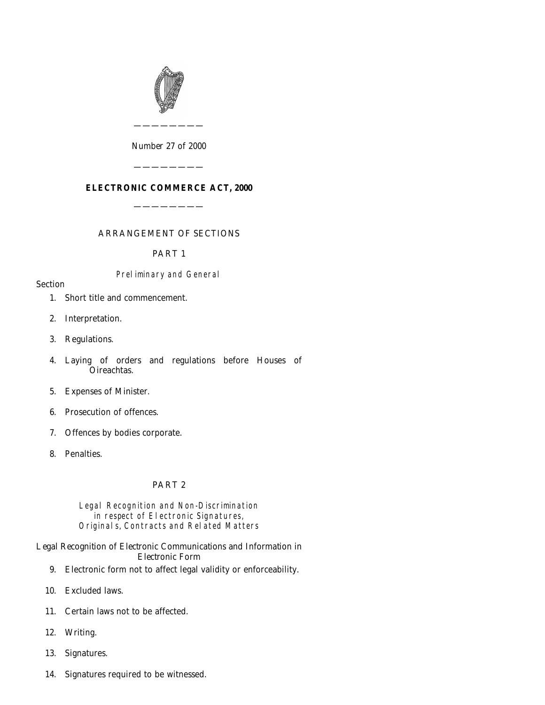

*Number* 27 *of* 2000

————————

# **ELECTRONIC COMMERCE ACT, 2000**

————————

————————

# ARRANGEMENT OF SECTIONS

# PART 1

# Preliminary and General

## Section

- [1. Short title and commencement.](#page-3-0)
- [2. Interpretation.](#page-3-0)
- [3. Regulations.](#page-6-0)
- [4. Laying of orders and regulations before Houses of](#page-6-0) Oireachtas.
- [5. Expenses of Minister.](#page-6-0)
- [6. Prosecution of offences.](#page-7-0)
- [7. Offences by bodies corporate.](#page-7-0)
- [8. Penalties.](#page-7-0)

# PART 2

# Legal Recognition and Non-Discrimination in respect of Electronic Signatures, Originals, Contracts and Related Matters

*Legal Recognition of Electronic Communications and Information in Electronic Form*

- [9. Electronic form not to affect legal validity or enforceability.](#page-7-0)
- [10. Excluded laws.](#page-8-0)
- [11. Certain laws not to be affected.](#page-8-0)
- [12. Writing.](#page-9-0)
- [13. Signatures.](#page-10-0)
- [14. Signatures required to be witnessed.](#page-10-0)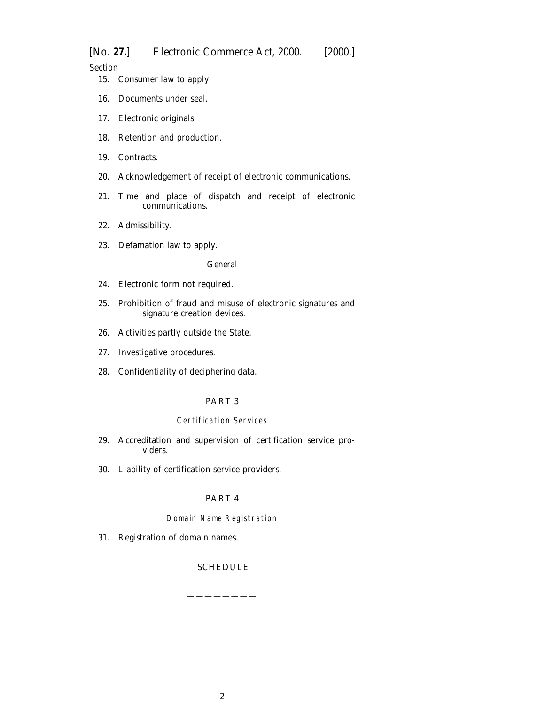Section

- [15. Consumer law to apply.](#page-11-0)
- [16. Documents under seal.](#page-11-0)
- [17. Electronic originals.](#page-12-0)
- [18. Retention and production.](#page-13-0)
- [19. Contracts.](#page-14-0)
- [20. Acknowledgement of receipt of electronic communications.](#page-14-0)
- [21. Time and place of dispatch and receipt of electronic](#page-15-0) communications.
- [22. Admissibility.](#page-15-0)
- [23. Defamation law to apply.](#page-16-0)

### *General*

- [24. Electronic form not required.](#page-16-0)
- [25. Prohibition of fraud and misuse of electronic signatures and](#page-16-0) signature creation devices.
- [26. Activities partly outside the State.](#page-17-0)
- [27. Investigative procedures.](#page-17-0)
- [28. Confidentiality of deciphering data.](#page-18-0)

# PART 3

# Certification Services

- [29. Accreditation and supervision of certification service pro](#page-18-0)viders.
- [30. Liability of certification service providers.](#page-19-0)

# PART 4

## Domain Name Registration

[31. Registration of domain names.](#page-20-0)

## **[SCHEDULE](#page-21-0)**

————————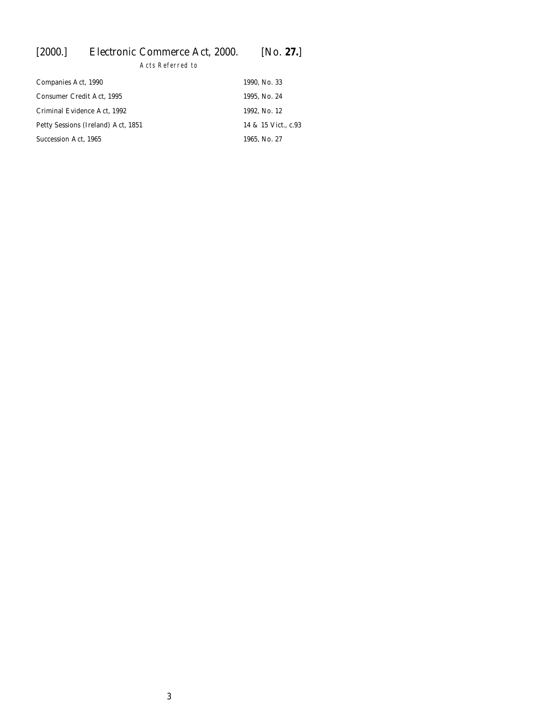Acts Referred to

| Companies Act, 1990                | 1990, No. 33        |  |
|------------------------------------|---------------------|--|
| Consumer Credit Act, 1995          | 1995, No. 24        |  |
| Criminal Evidence Act, 1992        | 1992. No. 12        |  |
| Petty Sessions (Ireland) Act, 1851 | 14 & 15 Vict., c.93 |  |
| Succession Act, 1965               | 1965, No. 27        |  |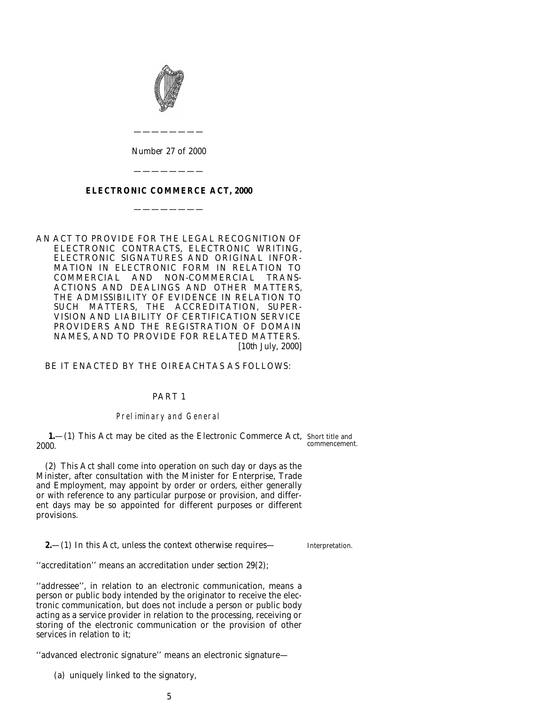<span id="page-3-0"></span>

*Number* 27 *of* 2000

————————

# **ELECTRONIC COMMERCE ACT, 2000**

————————

————————

AN ACT TO PROVIDE FOR THE LEGAL RECOGNITION OF ELECTRONIC CONTRACTS, ELECTRONIC WRITING, ELECTRONIC SIGNATURES AND ORIGINAL INFOR-MATION IN ELECTRONIC FORM IN RELATION TO COMMERCIAL AND NON-COMMERCIAL ACTIONS AND DEALINGS AND OTHER MATTERS, THE ADMISSIBILITY OF EVIDENCE IN RELATION TO SUCH MATTERS, THE ACCREDITATION, SUPER-VISION AND LIABILITY OF CERTIFICATION SERVICE PROVIDERS AND THE REGISTRATION OF DOMAIN NAMES, AND TO PROVIDE FOR RELATED MATTERS. [10*th July,* 2000]

BE IT ENACTED BY THE OIREACHTAS AS FOLLOWS:

## PART 1

## Preliminary and General

**1.**—(1) This Act may be cited as the Electronic Commerce Act, Short title and 2000. commencement.

(2) This Act shall come into operation on such day or days as the Minister, after consultation with the Minister for Enterprise, Trade and Employment, may appoint by order or orders, either generally or with reference to any particular purpose or provision, and different days may be so appointed for different purposes or different provisions.

**2.**—(1) In this Act, unless the context otherwise requires—

Interpretation.

''accreditation'' means an accreditation under *section 29(2)*;

''addressee'', in relation to an electronic communication, means a person or public body intended by the originator to receive the electronic communication, but does not include a person or public body acting as a service provider in relation to the processing, receiving or storing of the electronic communication or the provision of other services in relation to it;

''advanced electronic signature'' means an electronic signature—

(*a*) uniquely linked to the signatory,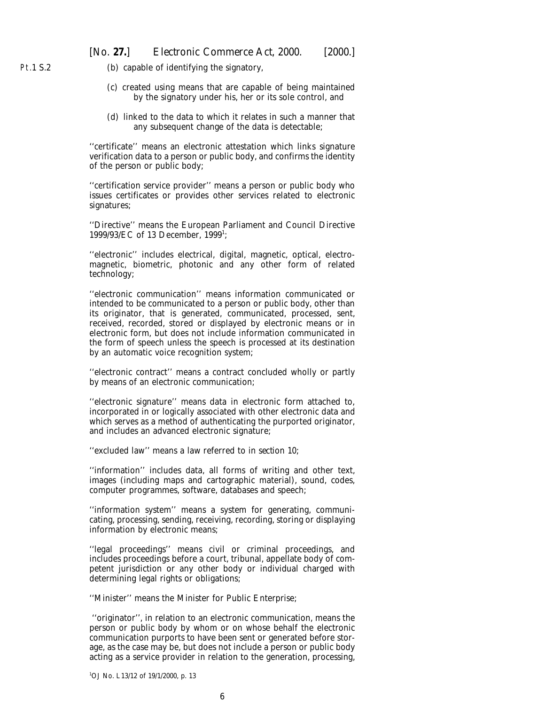- (*b*) capable of identifying the signatory,
- (*c*) created using means that are capable of being maintained by the signatory under his, her or its sole control, and
- (*d*) linked to the data to which it relates in such a manner that any subsequent change of the data is detectable;

''certificate'' means an electronic attestation which links signature verification data to a person or public body, and confirms the identity of the person or public body;

"certification service provider" means a person or public body who issues certificates or provides other services related to electronic signatures;

''Directive'' means the European Parliament and Council Directive 1999/93/EC of 13 December, 1999<sup>1</sup>;

''electronic'' includes electrical, digital, magnetic, optical, electromagnetic, biometric, photonic and any other form of related technology;

''electronic communication'' means information communicated or intended to be communicated to a person or public body, other than its originator, that is generated, communicated, processed, sent, received, recorded, stored or displayed by electronic means or in electronic form, but does not include information communicated in the form of speech unless the speech is processed at its destination by an automatic voice recognition system;

''electronic contract'' means a contract concluded wholly or partly by means of an electronic communication;

''electronic signature'' means data in electronic form attached to, incorporated in or logically associated with other electronic data and which serves as a method of authenticating the purported originator, and includes an advanced electronic signature;

''excluded law'' means a law referred to in *section 10*;

''information'' includes data, all forms of writing and other text, images (including maps and cartographic material), sound, codes, computer programmes, software, databases and speech;

''information system'' means a system for generating, communicating, processing, sending, receiving, recording, storing or displaying information by electronic means;

''legal proceedings'' means civil or criminal proceedings, and includes proceedings before a court, tribunal, appellate body of competent jurisdiction or any other body or individual charged with determining legal rights or obligations;

''Minister'' means the Minister for Public Enterprise;

''originator'', in relation to an electronic communication, means the person or public body by whom or on whose behalf the electronic communication purports to have been sent or generated before storage, as the case may be, but does not include a person or public body acting as a service provider in relation to the generation, processing,

1 OJ No. L13/12 of 19/1/2000, p. 13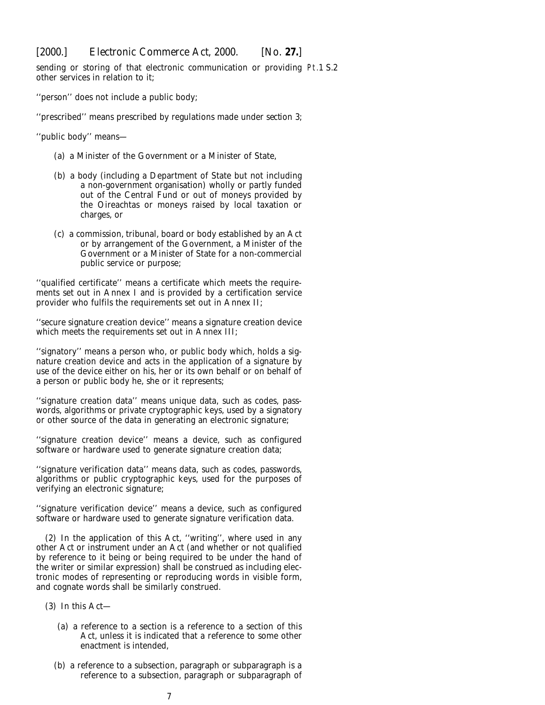sending or storing of that electronic communication or providing Pt.1 S.2other services in relation to it;

''person'' does not include a public body;

''prescribed'' means prescribed by regulations made under *section 3*;

''public body'' means—

- (*a*) a Minister of the Government or a Minister of State,
- (*b*) a body (including a Department of State but not including a non-government organisation) wholly or partly funded out of the Central Fund or out of moneys provided by the Oireachtas or moneys raised by local taxation or charges, or
- (*c*) a commission, tribunal, board or body established by an Act or by arrangement of the Government, a Minister of the Government or a Minister of State for a non-commercial public service or purpose;

''qualified certificate'' means a certificate which meets the requirements set out in Annex I and is provided by a certification service provider who fulfils the requirements set out in Annex II;

''secure signature creation device'' means a signature creation device which meets the requirements set out in Annex III;

''signatory'' means a person who, or public body which, holds a signature creation device and acts in the application of a signature by use of the device either on his, her or its own behalf or on behalf of a person or public body he, she or it represents;

''signature creation data'' means unique data, such as codes, passwords, algorithms or private cryptographic keys, used by a signatory or other source of the data in generating an electronic signature;

"signature creation device" means a device, such as configured software or hardware used to generate signature creation data;

''signature verification data'' means data, such as codes, passwords, algorithms or public cryptographic keys, used for the purposes of verifying an electronic signature;

''signature verification device'' means a device, such as configured software or hardware used to generate signature verification data.

(2) In the application of this Act, ''writing'', where used in any other Act or instrument under an Act (and whether or not qualified by reference to it being or being required to be under the hand of the writer or similar expression) shall be construed as including electronic modes of representing or reproducing words in visible form, and cognate words shall be similarly construed.

- (3) In this Act—
	- (*a*) a reference to a section is a reference to a section of this Act, unless it is indicated that a reference to some other enactment is intended,
	- (*b*) a reference to a subsection, paragraph or subparagraph is a reference to a subsection, paragraph or subparagraph of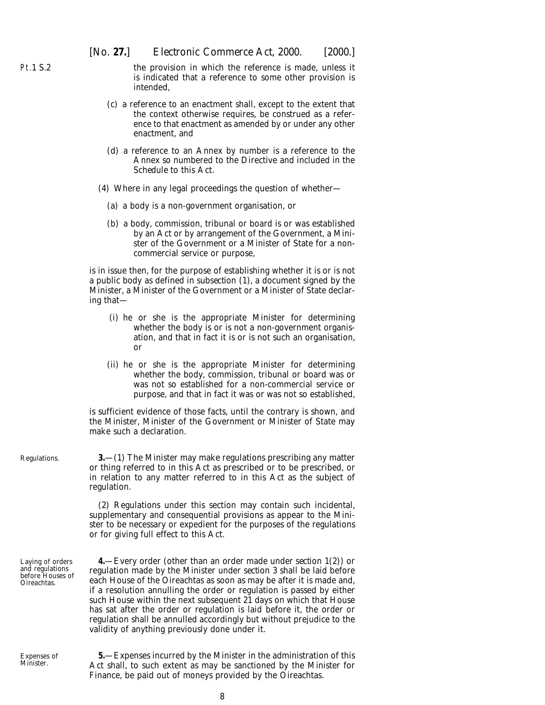<span id="page-6-0"></span>Pt.1 S.2

the provision in which the reference is made, unless it is indicated that a reference to some other provision is intended,

- (*c*) a reference to an enactment shall, except to the extent that the context otherwise requires, be construed as a reference to that enactment as amended by or under any other enactment, and
- (*d*) a reference to an Annex by number is a reference to the Annex so numbered to the Directive and included in the *Schedule* to this Act.
- (4) Where in any legal proceedings the question of whether—
	- (*a*) a body is a non-government organisation, or
	- (*b*) a body, commission, tribunal or board is or was established by an Act or by arrangement of the Government, a Minister of the Government or a Minister of State for a noncommercial service or purpose,

is in issue then, for the purpose of establishing whether it is or is not a public body as defined in *subsection (1)*, a document signed by the Minister, a Minister of the Government or a Minister of State declaring that—

- (i) he or she is the appropriate Minister for determining whether the body is or is not a non-government organisation, and that in fact it is or is not such an organisation, or
- (ii) he or she is the appropriate Minister for determining whether the body, commission, tribunal or board was or was not so established for a non-commercial service or purpose, and that in fact it was or was not so established,

is sufficient evidence of those facts, until the contrary is shown, and the Minister, Minister of the Government or Minister of State may make such a declaration.

Regulations.

Laying of orders and regulations before Houses of Oireachtas.

Expenses of Minister.

**3.**—(1) The Minister may make regulations prescribing any matter or thing referred to in this Act as prescribed or to be prescribed, or in relation to any matter referred to in this Act as the subject of regulation.

(2) Regulations under this section may contain such incidental, supplementary and consequential provisions as appear to the Minister to be necessary or expedient for the purposes of the regulations or for giving full effect to this Act.

**4.**—Every order (other than an order made under *section 1(2)*) or regulation made by the Minister under *section 3* shall be laid before each House of the Oireachtas as soon as may be after it is made and, if a resolution annulling the order or regulation is passed by either such House within the next subsequent 21 days on which that House has sat after the order or regulation is laid before it, the order or regulation shall be annulled accordingly but without prejudice to the validity of anything previously done under it.

**5.**—Expenses incurred by the Minister in the administration of this Act shall, to such extent as may be sanctioned by the Minister for Finance, be paid out of moneys provided by the Oireachtas.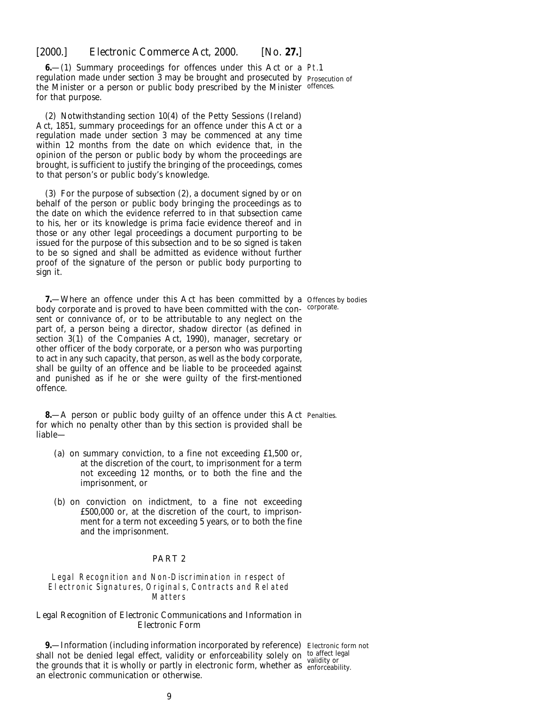<span id="page-7-0"></span>**6.**—(1) Summary proceedings for offences under this Act or a Pt.1 regulation made under *section 3* may be brought and prosecuted by Prosecution of the Minister or a person or public body prescribed by the Minister offences. for that purpose.

(2) Notwithstanding section 10(4) of the Petty Sessions (Ireland) Act, 1851, summary proceedings for an offence under this Act or a regulation made under *section 3* may be commenced at any time within 12 months from the date on which evidence that, in the opinion of the person or public body by whom the proceedings are brought, is sufficient to justify the bringing of the proceedings, comes to that person's or public body's knowledge.

(3) For the purpose of *subsection (2)*, a document signed by or on behalf of the person or public body bringing the proceedings as to the date on which the evidence referred to in that subsection came to his, her or its knowledge is *prima facie* evidence thereof and in those or any other legal proceedings a document purporting to be issued for the purpose of this subsection and to be so signed is taken to be so signed and shall be admitted as evidence without further proof of the signature of the person or public body purporting to sign it.

**7.**—Where an offence under this Act has been committed by a Offences by bodies body corporate and is proved to have been committed with the con-corporate. sent or connivance of, or to be attributable to any neglect on the part of, a person being a director, shadow director (as defined in section 3(1) of the Companies Act, 1990), manager, secretary or other officer of the body corporate, or a person who was purporting to act in any such capacity, that person, as well as the body corporate, shall be guilty of an offence and be liable to be proceeded against and punished as if he or she were guilty of the first-mentioned offence.

**8**—A person or public body guilty of an offence under this Act Penalties. for which no penalty other than by this section is provided shall be liable—

- (*a*) on summary conviction, to a fine not exceeding £1,500 or, at the discretion of the court, to imprisonment for a term not exceeding 12 months, or to both the fine and the imprisonment, or
- (*b*) on conviction on indictment, to a fine not exceeding £500,000 or, at the discretion of the court, to imprisonment for a term not exceeding 5 years, or to both the fine and the imprisonment.

#### PART 2

Legal Recognition and Non-Discrimination in respect of Electronic Signatures, Originals, Contracts and Related **Matters** 

#### *Legal Recognition of Electronic Communications and Information in Electronic Form*

**9.**—Information (including information incorporated by reference) Electronic form not shall not be denied legal effect, validity or enforceability solely on to affect legal the grounds that it is wholly or partly in electronic form, whether as enforceability. an electronic communication or otherwise.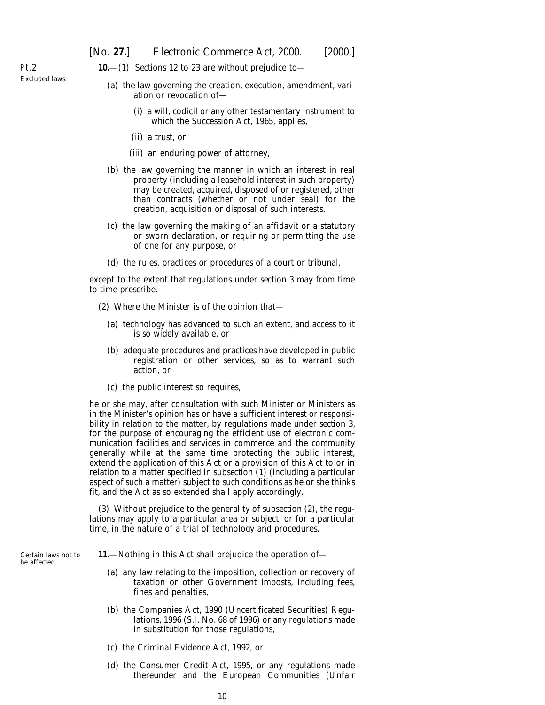<span id="page-8-0"></span>Pt.2 Excluded laws.

- **10.**—(1) *Sections 12* to *23* are without prejudice to—
	- (*a*) the law governing the creation, execution, amendment, variation or revocation of—
		- (i) a will, codicil or any other testamentary instrument to which the Succession Act, 1965, applies,
		- (ii) a trust, or
		- (iii) an enduring power of attorney,
	- (*b*) the law governing the manner in which an interest in real property (including a leasehold interest in such property) may be created, acquired, disposed of or registered, other than contracts (whether or not under seal) for the creation, acquisition or disposal of such interests,
	- (*c*) the law governing the making of an affidavit or a statutory or sworn declaration, or requiring or permitting the use of one for any purpose, or
	- (*d*) the rules, practices or procedures of a court or tribunal,

except to the extent that regulations under *section 3* may from time to time prescribe.

- (2) Where the Minister is of the opinion that—
	- (*a*) technology has advanced to such an extent, and access to it is so widely available, or
	- (*b*) adequate procedures and practices have developed in public registration or other services, so as to warrant such action, or
	- (*c*) the public interest so requires,

he or she may, after consultation with such Minister or Ministers as in the Minister's opinion has or have a sufficient interest or responsibility in relation to the matter, by regulations made under *section 3*, for the purpose of encouraging the efficient use of electronic communication facilities and services in commerce and the community generally while at the same time protecting the public interest, extend the application of this Act or a provision of this Act to or in relation to a matter specified in *subsection (1)* (including a particular aspect of such a matter) subject to such conditions as he or she thinks fit, and the Act as so extended shall apply accordingly.

(3) Without prejudice to the generality of *subsection (2)*, the regulations may apply to a particular area or subject, or for a particular time, in the nature of a trial of technology and procedures.

Certain laws not to be affected.

**11.**—Nothing in this Act shall prejudice the operation of—

- (*a*) any law relating to the imposition, collection or recovery of taxation or other Government imposts, including fees, fines and penalties,
- (*b*) the Companies Act, 1990 (Uncertificated Securities) Regulations, 1996 (S.I. No. 68 of 1996) or any regulations made in substitution for those regulations,
- (*c*) the Criminal Evidence Act, 1992, or
- (*d*) the Consumer Credit Act, 1995, or any regulations made thereunder and the European Communities (Unfair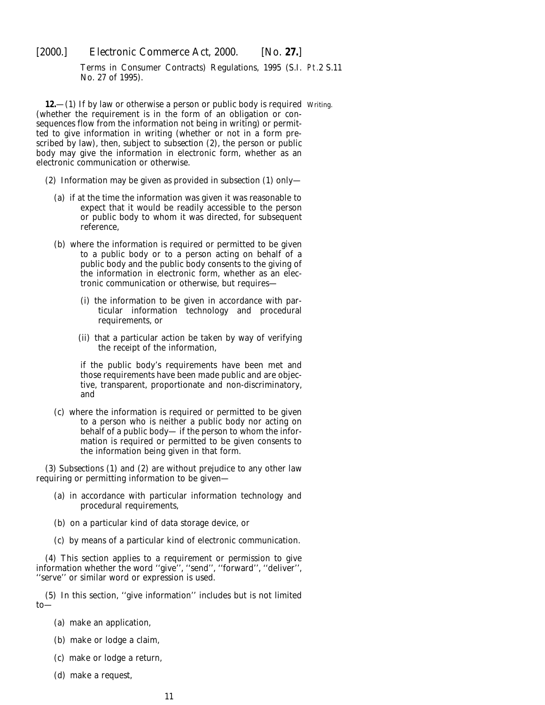<span id="page-9-0"></span>[2000.] *Electronic Commerce Act,* 2000. [*No.* **27.**]

Terms in Consumer Contracts) Regulations, 1995 (S.I. Pt.2 S.11 No. 27 of 1995).

**12.**—(1) If by law or otherwise a person or public body is required Writing. (whether the requirement is in the form of an obligation or consequences flow from the information not being in writing) or permitted to give information in writing (whether or not in a form prescribed by law), then, subject to *subsection (2)*, the person or public body may give the information in electronic form, whether as an electronic communication or otherwise.

- (2) Information may be given as provided in *subsection (1)* only—
	- (*a*) if at the time the information was given it was reasonable to expect that it would be readily accessible to the person or public body to whom it was directed, for subsequent reference,
	- (*b*) where the information is required or permitted to be given to a public body or to a person acting on behalf of a public body and the public body consents to the giving of the information in electronic form, whether as an electronic communication or otherwise, but requires—
		- (i) the information to be given in accordance with particular information technology and procedural requirements, or
		- (ii) that a particular action be taken by way of verifying the receipt of the information,

if the public body's requirements have been met and those requirements have been made public and are objective, transparent, proportionate and non-discriminatory, and

(*c*) where the information is required or permitted to be given to a person who is neither a public body nor acting on behalf of a public body— if the person to whom the information is required or permitted to be given consents to the information being given in that form.

(3) *Subsections (1)* and *(2)* are without prejudice to any other law requiring or permitting information to be given—

- (*a*) in accordance with particular information technology and procedural requirements,
- (*b*) on a particular kind of data storage device, or
- (*c*) by means of a particular kind of electronic communication.

(4) This section applies to a requirement or permission to give information whether the word ''give'', ''send'', ''forward'', ''deliver'', ''serve'' or similar word or expression is used.

(5) In this section, ''give information'' includes but is not limited to—

- (*a*) make an application,
- (*b*) make or lodge a claim,
- (*c*) make or lodge a return,
- (*d*) make a request,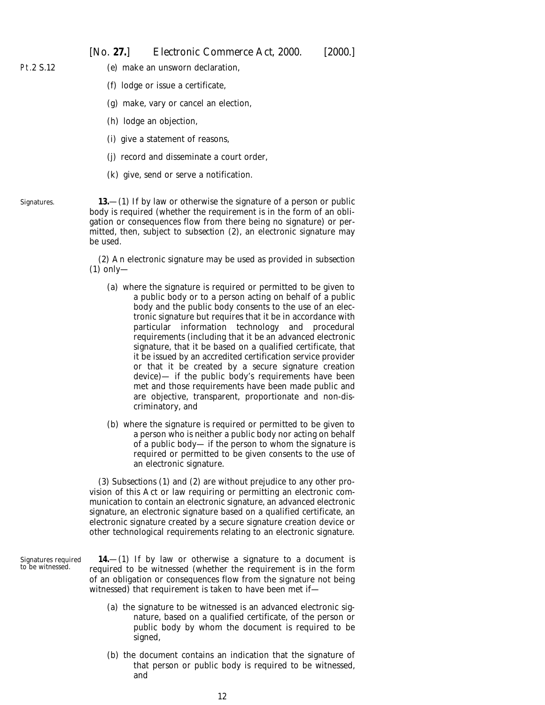[*No.* **27.**] *Electronic Commerce Act,* 2000. [2000.]

<span id="page-10-0"></span>Pt.2 S.12

- (*e*) make an unsworn declaration,
- (*f*) lodge or issue a certificate,
- (*g*) make, vary or cancel an election,
- (*h*) lodge an objection,
- (*i*) give a statement of reasons,
- (*j*) record and disseminate a court order,
- (*k*) give, send or serve a notification.

Signatures.

**13.**—(1) If by law or otherwise the signature of a person or public body is required (whether the requirement is in the form of an obligation or consequences flow from there being no signature) or permitted, then, subject to *subsection (2)*, an electronic signature may be used.

(2) An electronic signature may be used as provided in *subsection (1)* only—

- (*a*) where the signature is required or permitted to be given to a public body or to a person acting on behalf of a public body and the public body consents to the use of an electronic signature but requires that it be in accordance with particular information technology and procedural requirements (including that it be an advanced electronic signature, that it be based on a qualified certificate, that it be issued by an accredited certification service provider or that it be created by a secure signature creation device)— if the public body's requirements have been met and those requirements have been made public and are objective, transparent, proportionate and non-discriminatory, and
- (*b*) where the signature is required or permitted to be given to a person who is neither a public body nor acting on behalf of a public body— if the person to whom the signature is required or permitted to be given consents to the use of an electronic signature.

(3) *Subsections (1)* and *(2)* are without prejudice to any other provision of this Act or law requiring or permitting an electronic communication to contain an electronic signature, an advanced electronic signature, an electronic signature based on a qualified certificate, an electronic signature created by a secure signature creation device or other technological requirements relating to an electronic signature.

Signatures required to be witnessed.

**14.**—(1) If by law or otherwise a signature to a document is required to be witnessed (whether the requirement is in the form of an obligation or consequences flow from the signature not being witnessed) that requirement is taken to have been met if—

- (*a*) the signature to be witnessed is an advanced electronic signature, based on a qualified certificate, of the person or public body by whom the document is required to be signed,
- (*b*) the document contains an indication that the signature of that person or public body is required to be witnessed, and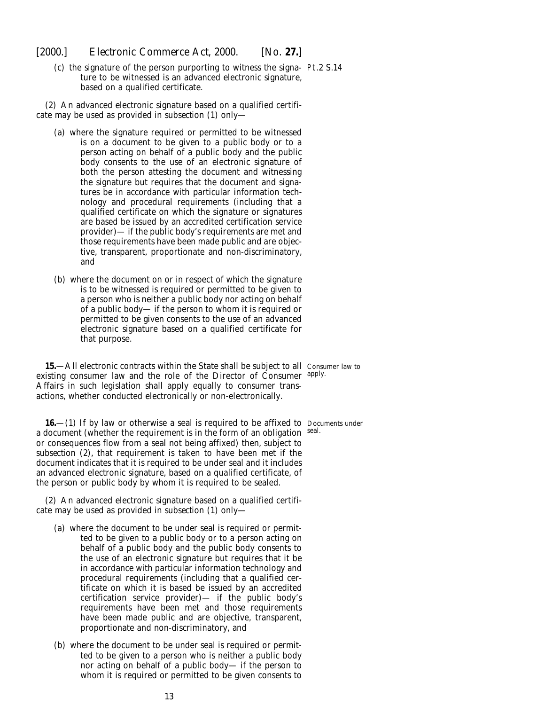<span id="page-11-0"></span>(*c*) the signature of the person purporting to witness the signa-Pt.2 S.14 ture to be witnessed is an advanced electronic signature, based on a qualified certificate.

(2) An advanced electronic signature based on a qualified certificate may be used as provided in *subsection (1)* only—

- (*a*) where the signature required or permitted to be witnessed is on a document to be given to a public body or to a person acting on behalf of a public body and the public body consents to the use of an electronic signature of both the person attesting the document and witnessing the signature but requires that the document and signatures be in accordance with particular information technology and procedural requirements (including that a qualified certificate on which the signature or signatures are based be issued by an accredited certification service provider)— if the public body's requirements are met and those requirements have been made public and are objective, transparent, proportionate and non-discriminatory, and
- (*b*) where the document on or in respect of which the signature is to be witnessed is required or permitted to be given to a person who is neither a public body nor acting on behalf of a public body— if the person to whom it is required or permitted to be given consents to the use of an advanced electronic signature based on a qualified certificate for that purpose.

**15.—All electronic contracts within the State shall be subject to all** Consumer law to existing consumer law and the role of the Director of Consumer <sup>apply.</sup> Affairs in such legislation shall apply equally to consumer transactions, whether conducted electronically or non-electronically.

**16.**—(1) If by law or otherwise a seal is required to be affixed to Documents under a document (whether the requirement is in the form of an obligation seal. or consequences flow from a seal not being affixed) then, subject to *subsection (2)*, that requirement is taken to have been met if the document indicates that it is required to be under seal and it includes an advanced electronic signature, based on a qualified certificate, of the person or public body by whom it is required to be sealed.

(2) An advanced electronic signature based on a qualified certificate may be used as provided in *subsection (1)* only—

- (*a*) where the document to be under seal is required or permitted to be given to a public body or to a person acting on behalf of a public body and the public body consents to the use of an electronic signature but requires that it be in accordance with particular information technology and procedural requirements (including that a qualified certificate on which it is based be issued by an accredited certification service provider)— if the public body's requirements have been met and those requirements have been made public and are objective, transparent, proportionate and non-discriminatory, and
- (*b*) where the document to be under seal is required or permitted to be given to a person who is neither a public body nor acting on behalf of a public body— if the person to whom it is required or permitted to be given consents to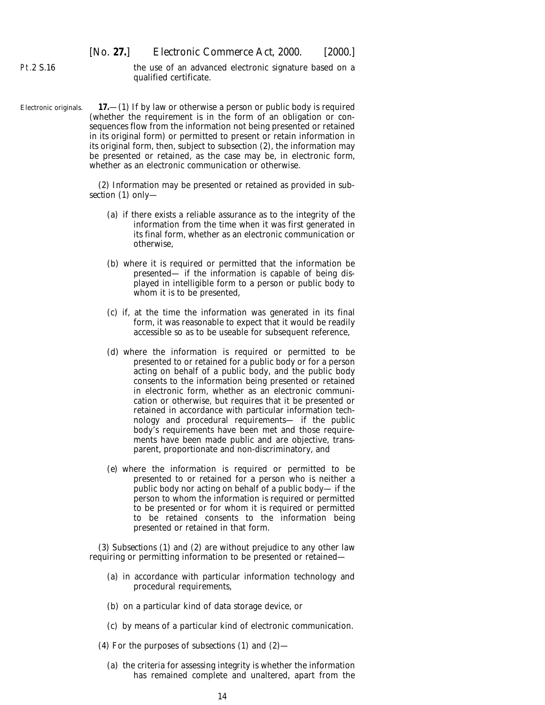<span id="page-12-0"></span>Pt.2 S.16

the use of an advanced electronic signature based on a qualified certificate.

Electronic originals.

**17.**—(1) If by law or otherwise a person or public body is required (whether the requirement is in the form of an obligation or consequences flow from the information not being presented or retained in its original form) or permitted to present or retain information in its original form, then, subject to *subsection (2)*, the information may be presented or retained, as the case may be, in electronic form, whether as an electronic communication or otherwise.

(2) Information may be presented or retained as provided in *subsection (1)* only—

- (*a*) if there exists a reliable assurance as to the integrity of the information from the time when it was first generated in its final form, whether as an electronic communication or otherwise,
- (*b*) where it is required or permitted that the information be presented— if the information is capable of being displayed in intelligible form to a person or public body to whom it is to be presented,
- (*c*) if, at the time the information was generated in its final form, it was reasonable to expect that it would be readily accessible so as to be useable for subsequent reference,
- (*d*) where the information is required or permitted to be presented to or retained for a public body or for a person acting on behalf of a public body, and the public body consents to the information being presented or retained in electronic form, whether as an electronic communication or otherwise, but requires that it be presented or retained in accordance with particular information technology and procedural requirements— if the public body's requirements have been met and those requirements have been made public and are objective, transparent, proportionate and non-discriminatory, and
- (*e*) where the information is required or permitted to be presented to or retained for a person who is neither a public body nor acting on behalf of a public body— if the person to whom the information is required or permitted to be presented or for whom it is required or permitted to be retained consents to the information being presented or retained in that form.

(3) *Subsections (1)* and *(2)* are without prejudice to any other law requiring or permitting information to be presented or retained—

- (*a*) in accordance with particular information technology and procedural requirements,
- (*b*) on a particular kind of data storage device, or
- (*c*) by means of a particular kind of electronic communication.
- (4) For the purposes of *subsections (1)* and *(2)*
	- (*a*) the criteria for assessing integrity is whether the information has remained complete and unaltered, apart from the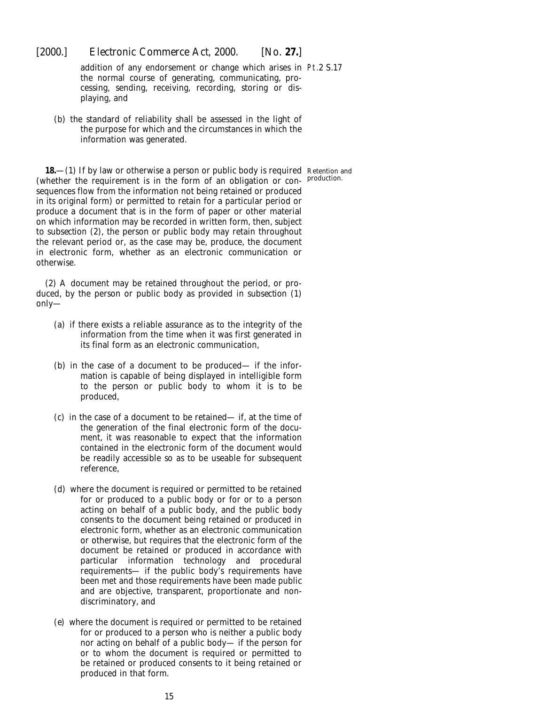<span id="page-13-0"></span>

addition of any endorsement or change which arises in Pt.2 S.17 the normal course of generating, communicating, processing, sending, receiving, recording, storing or displaying, and

(*b*) the standard of reliability shall be assessed in the light of the purpose for which and the circumstances in which the information was generated.

**18.**—(1) If by law or otherwise a person or public body is required Retention and (whether the requirement is in the form of an obligation or con-production.sequences flow from the information not being retained or produced in its original form) or permitted to retain for a particular period or produce a document that is in the form of paper or other material on which information may be recorded in written form, then, subject to *subsection (2)*, the person or public body may retain throughout the relevant period or, as the case may be, produce, the document in electronic form, whether as an electronic communication or otherwise.

(2) A document may be retained throughout the period, or produced, by the person or public body as provided in *subsection (1)* only—

- (*a*) if there exists a reliable assurance as to the integrity of the information from the time when it was first generated in its final form as an electronic communication,
- (*b*) in the case of a document to be produced— if the information is capable of being displayed in intelligible form to the person or public body to whom it is to be produced,
- (*c*) in the case of a document to be retained— if, at the time of the generation of the final electronic form of the document, it was reasonable to expect that the information contained in the electronic form of the document would be readily accessible so as to be useable for subsequent reference,
- (*d*) where the document is required or permitted to be retained for or produced to a public body or for or to a person acting on behalf of a public body, and the public body consents to the document being retained or produced in electronic form, whether as an electronic communication or otherwise, but requires that the electronic form of the document be retained or produced in accordance with particular information technology and procedural requirements— if the public body's requirements have been met and those requirements have been made public and are objective, transparent, proportionate and nondiscriminatory, and
- (*e*) where the document is required or permitted to be retained for or produced to a person who is neither a public body nor acting on behalf of a public body— if the person for or to whom the document is required or permitted to be retained or produced consents to it being retained or produced in that form.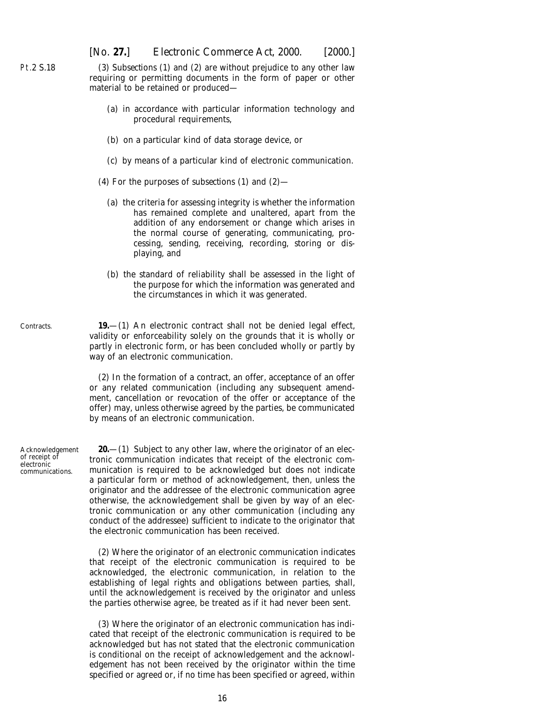<span id="page-14-0"></span>Pt.2 S.18

(3) *Subsections (1)* and *(2)* are without prejudice to any other law requiring or permitting documents in the form of paper or other material to be retained or produced—

- (*a*) in accordance with particular information technology and procedural requirements,
- (*b*) on a particular kind of data storage device, or
- (*c*) by means of a particular kind of electronic communication.
- (4) For the purposes of *subsections (1)* and *(2)*
	- (*a*) the criteria for assessing integrity is whether the information has remained complete and unaltered, apart from the addition of any endorsement or change which arises in the normal course of generating, communicating, processing, sending, receiving, recording, storing or displaying, and
	- (*b*) the standard of reliability shall be assessed in the light of the purpose for which the information was generated and the circumstances in which it was generated.

**Contracts** 

**19.**—(1) An electronic contract shall not be denied legal effect, validity or enforceability solely on the grounds that it is wholly or partly in electronic form, or has been concluded wholly or partly by way of an electronic communication.

(2) In the formation of a contract, an offer, acceptance of an offer or any related communication (including any subsequent amendment, cancellation or revocation of the offer or acceptance of the offer) may, unless otherwise agreed by the parties, be communicated by means of an electronic communication.

**20.**—(1) Subject to any other law, where the originator of an electronic communication indicates that receipt of the electronic communication is required to be acknowledged but does not indicate a particular form or method of acknowledgement, then, unless the originator and the addressee of the electronic communication agree otherwise, the acknowledgement shall be given by way of an electronic communication or any other communication (including any conduct of the addressee) sufficient to indicate to the originator that the electronic communication has been received.

(2) Where the originator of an electronic communication indicates that receipt of the electronic communication is required to be acknowledged, the electronic communication, in relation to the establishing of legal rights and obligations between parties, shall, until the acknowledgement is received by the originator and unless the parties otherwise agree, be treated as if it had never been sent.

(3) Where the originator of an electronic communication has indicated that receipt of the electronic communication is required to be acknowledged but has not stated that the electronic communication is conditional on the receipt of acknowledgement and the acknowledgement has not been received by the originator within the time specified or agreed or, if no time has been specified or agreed, within

Acknowledgement of receipt of electronic communications.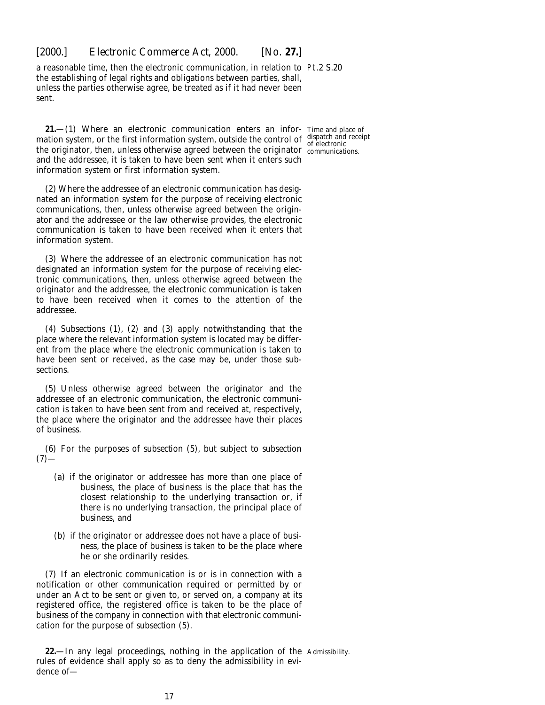<span id="page-15-0"></span>a reasonable time, then the electronic communication, in relation to Pt.2 S.20 the establishing of legal rights and obligations between parties, shall, unless the parties otherwise agree, be treated as if it had never been sent.

**21.** (1) Where an electronic communication enters an infor-Time and place of mation system, or the first information system, outside the control of the originator, then, unless otherwise agreed between the originator and the addressee, it is taken to have been sent when it enters such information system or first information system.

(2) Where the addressee of an electronic communication has designated an information system for the purpose of receiving electronic communications, then, unless otherwise agreed between the originator and the addressee or the law otherwise provides, the electronic communication is taken to have been received when it enters that information system.

(3) Where the addressee of an electronic communication has not designated an information system for the purpose of receiving electronic communications, then, unless otherwise agreed between the originator and the addressee, the electronic communication is taken to have been received when it comes to the attention of the addressee.

(4) *Subsections (1)*, *(2)* and *(3)* apply notwithstanding that the place where the relevant information system is located may be different from the place where the electronic communication is taken to have been sent or received, as the case may be, under those subsections.

(5) Unless otherwise agreed between the originator and the addressee of an electronic communication, the electronic communication is taken to have been sent from and received at, respectively, the place where the originator and the addressee have their places of business.

(6) For the purposes of *subsection (5)*, but subject to *subsection (7)*—

- (*a*) if the originator or addressee has more than one place of business, the place of business is the place that has the closest relationship to the underlying transaction or, if there is no underlying transaction, the principal place of business, and
- (*b*) if the originator or addressee does not have a place of business, the place of business is taken to be the place where he or she ordinarily resides.

(7) If an electronic communication is or is in connection with a notification or other communication required or permitted by or under an Act to be sent or given to, or served on, a company at its registered office, the registered office is taken to be the place of business of the company in connection with that electronic communication for the purpose of *subsection (5)*.

**22.**—In any legal proceedings, nothing in the application of the Admissibility. rules of evidence shall apply so as to deny the admissibility in evidence of—

dispatch and receipt of electronic communications.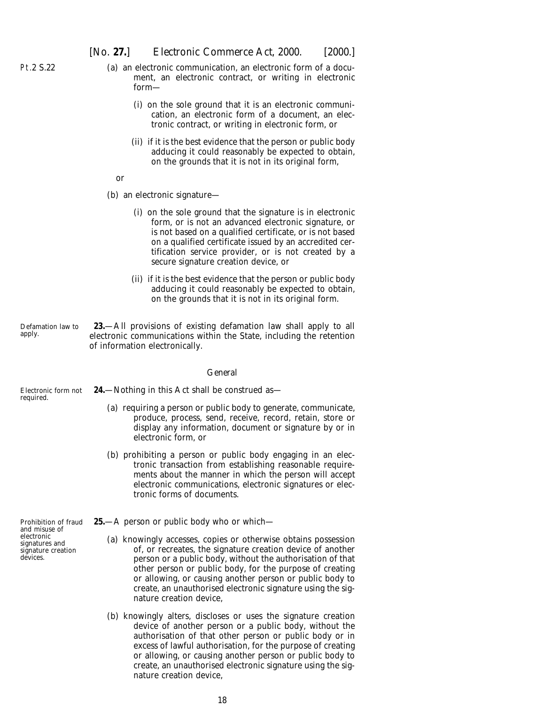<span id="page-16-0"></span>Pt.2 S.22

- (*a*) an electronic communication, an electronic form of a document, an electronic contract, or writing in electronic form—
	- (i) on the sole ground that it is an electronic communication, an electronic form of a document, an electronic contract, or writing in electronic form, or
	- (ii) if it is the best evidence that the person or public body adducing it could reasonably be expected to obtain, on the grounds that it is not in its original form,

or

- (*b*) an electronic signature—
	- (i) on the sole ground that the signature is in electronic form, or is not an advanced electronic signature, or is not based on a qualified certificate, or is not based on a qualified certificate issued by an accredited certification service provider, or is not created by a secure signature creation device, or
	- (ii) if it is the best evidence that the person or public body adducing it could reasonably be expected to obtain, on the grounds that it is not in its original form.

Defamation law to apply.

required.

**23.**—All provisions of existing defamation law shall apply to all electronic communications within the State, including the retention of information electronically.

#### *General*

Electronic form not **24.**—Nothing in this Act shall be construed as—

- (*a*) requiring a person or public body to generate, communicate, produce, process, send, receive, record, retain, store or display any information, document or signature by or in electronic form, or
- (*b*) prohibiting a person or public body engaging in an electronic transaction from establishing reasonable requirements about the manner in which the person will accept electronic communications, electronic signatures or electronic forms of documents.
- **25.**—A person or public body who or which—
	- (*a*) knowingly accesses, copies or otherwise obtains possession of, or recreates, the signature creation device of another person or a public body, without the authorisation of that other person or public body, for the purpose of creating or allowing, or causing another person or public body to create, an unauthorised electronic signature using the signature creation device,
	- (*b*) knowingly alters, discloses or uses the signature creation device of another person or a public body, without the authorisation of that other person or public body or in excess of lawful authorisation, for the purpose of creating or allowing, or causing another person or public body to create, an unauthorised electronic signature using the signature creation device,

Prohibition of fraud and misuse of electronic signatures and signature creation devices.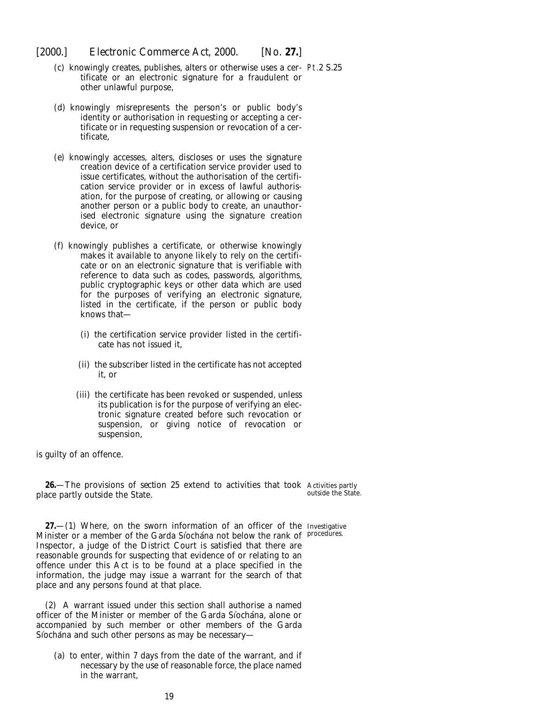- <span id="page-17-0"></span>(*c*) knowingly creates, publishes, alters or otherwise uses a cer-Pt.2 S.25 tificate or an electronic signature for a fraudulent or other unlawful purpose,
- (*d*) knowingly misrepresents the person's or public body's identity or authorisation in requesting or accepting a certificate or in requesting suspension or revocation of a certificate,
- (*e*) knowingly accesses, alters, discloses or uses the signature creation device of a certification service provider used to issue certificates, without the authorisation of the certification service provider or in excess of lawful authorisation, for the purpose of creating, or allowing or causing another person or a public body to create, an unauthorised electronic signature using the signature creation device, or
- (*f*) knowingly publishes a certificate, or otherwise knowingly makes it available to anyone likely to rely on the certificate or on an electronic signature that is verifiable with reference to data such as codes, passwords, algorithms, public cryptographic keys or other data which are used for the purposes of verifying an electronic signature, listed in the certificate, if the person or public body knows that—
	- (i) the certification service provider listed in the certificate has not issued it,
	- (ii) the subscriber listed in the certificate has not accepted it, or
	- (iii) the certificate has been revoked or suspended, unless its publication is for the purpose of verifying an electronic signature created before such revocation or suspension, or giving notice of revocation or suspension,

is guilty of an offence.

**26.**—The provisions of *section 25* extend to activities that took Activities partly place partly outside the State. outside the State.

**27.**—(1) Where, on the sworn information of an officer of the Investigative Minister or a member of the Garda Síochána not below the rank of Procedures. Inspector, a judge of the District Court is satisfied that there are reasonable grounds for suspecting that evidence of or relating to an offence under this Act is to be found at a place specified in the information, the judge may issue a warrant for the search of that place and any persons found at that place.

(2) A warrant issued under this section shall authorise a named officer of the Minister or member of the Garda Siochána, alone or accompanied by such member or other members of the Garda Síochána and such other persons as may be necessary—

(*a*) to enter, within 7 days from the date of the warrant, and if necessary by the use of reasonable force, the place named in the warrant,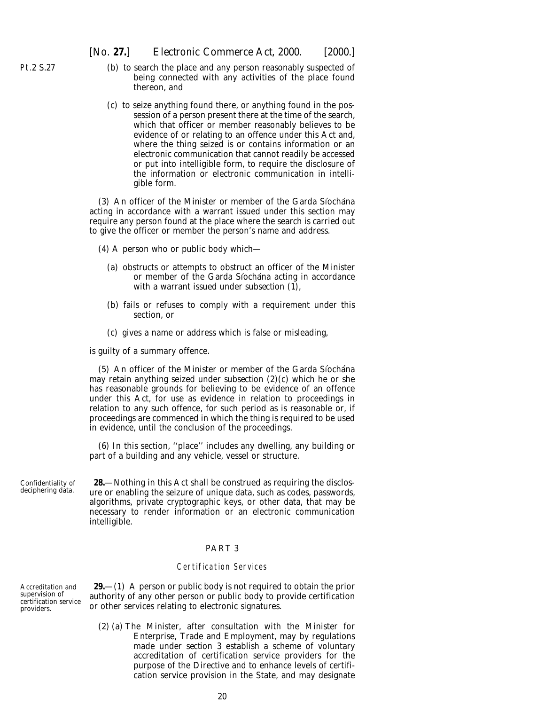<span id="page-18-0"></span>Pt.2 S.27

- (*b*) to search the place and any person reasonably suspected of being connected with any activities of the place found thereon, and
- (*c*) to seize anything found there, or anything found in the possession of a person present there at the time of the search, which that officer or member reasonably believes to be evidence of or relating to an offence under this Act and, where the thing seized is or contains information or an electronic communication that cannot readily be accessed or put into intelligible form, to require the disclosure of the information or electronic communication in intelligible form.

(3) An officer of the Minister or member of the Garda Síochána acting in accordance with a warrant issued under this section may require any person found at the place where the search is carried out to give the officer or member the person's name and address.

- (4) A person who or public body which—
	- (*a*) obstructs or attempts to obstruct an officer of the Minister or member of the Garda Síochána acting in accordance with a warrant issued under *subsection (1)*,
	- (*b*) fails or refuses to comply with a requirement under this section, or
	- (*c*) gives a name or address which is false or misleading,

is guilty of a summary offence.

(5) An officer of the Minister or member of the Garda Síochána may retain anything seized under *subsection (2)(c)* which he or she has reasonable grounds for believing to be evidence of an offence under this Act, for use as evidence in relation to proceedings in relation to any such offence, for such period as is reasonable or, if proceedings are commenced in which the thing is required to be used in evidence, until the conclusion of the proceedings.

(6) In this section, ''place'' includes any dwelling, any building or part of a building and any vehicle, vessel or structure.

Confidentiality of deciphering data.

**28.**—Nothing in this Act shall be construed as requiring the disclosure or enabling the seizure of unique data, such as codes, passwords, algorithms, private cryptographic keys, or other data, that may be necessary to render information or an electronic communication intelligible.

### PART 3

#### Certification Services

Accreditation and supervision of certification service providers.

**29.**—(1) A person or public body is not required to obtain the prior authority of any other person or public body to provide certification or other services relating to electronic signatures.

(2) (*a*) The Minister, after consultation with the Minister for Enterprise, Trade and Employment, may by regulations made under *section 3* establish a scheme of voluntary accreditation of certification service providers for the purpose of the Directive and to enhance levels of certification service provision in the State, and may designate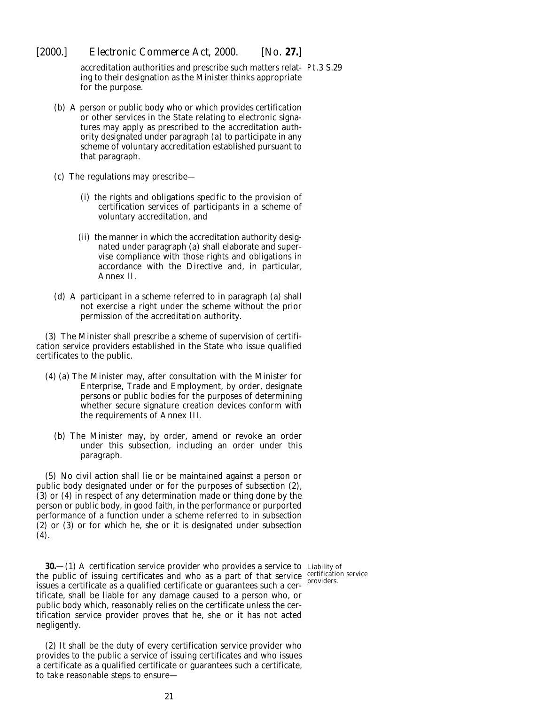<span id="page-19-0"></span>[2000.] *Electronic Commerce Act,* 2000. [*No.* **27.**]

accreditation authorities and prescribe such matters relat-Pt.3 S.29 ing to their designation as the Minister thinks appropriate for the purpose.

- (*b*) A person or public body who or which provides certification or other services in the State relating to electronic signatures may apply as prescribed to the accreditation authority designated under *paragraph (a)* to participate in any scheme of voluntary accreditation established pursuant to that paragraph.
- (*c*) The regulations may prescribe—
	- (i) the rights and obligations specific to the provision of certification services of participants in a scheme of voluntary accreditation, and
	- (ii) the manner in which the accreditation authority designated under *paragraph (a)* shall elaborate and supervise compliance with those rights and obligations in accordance with the Directive and, in particular, Annex II.
- (*d*) A participant in a scheme referred to in *paragraph (a)* shall not exercise a right under the scheme without the prior permission of the accreditation authority.

(3) The Minister shall prescribe a scheme of supervision of certification service providers established in the State who issue qualified certificates to the public.

- (4) (*a*) The Minister may, after consultation with the Minister for Enterprise, Trade and Employment, by order, designate persons or public bodies for the purposes of determining whether secure signature creation devices conform with the requirements of Annex III.
	- (*b*) The Minister may, by order, amend or revoke an order under this subsection, including an order under this paragraph.

(5) No civil action shall lie or be maintained against a person or public body designated under or for the purposes of *subsection (2), (3)* or *(4)* in respect of any determination made or thing done by the person or public body, in good faith, in the performance or purported performance of a function under a scheme referred to in *subsection (2)* or *(3)* or for which he, she or it is designated under *subsection (4)*.

**30.**—(1) A certification service provider who provides a service to Liability of the public of issuing certificates and who as a part of that service  $\frac{\text{certification service}}{\text{predicting}}$ issues a certificate as a qualified certificate or guarantees such a cer-providers.tificate, shall be liable for any damage caused to a person who, or public body which, reasonably relies on the certificate unless the certification service provider proves that he, she or it has not acted negligently.

(2) It shall be the duty of every certification service provider who provides to the public a service of issuing certificates and who issues a certificate as a qualified certificate or guarantees such a certificate, to take reasonable steps to ensure—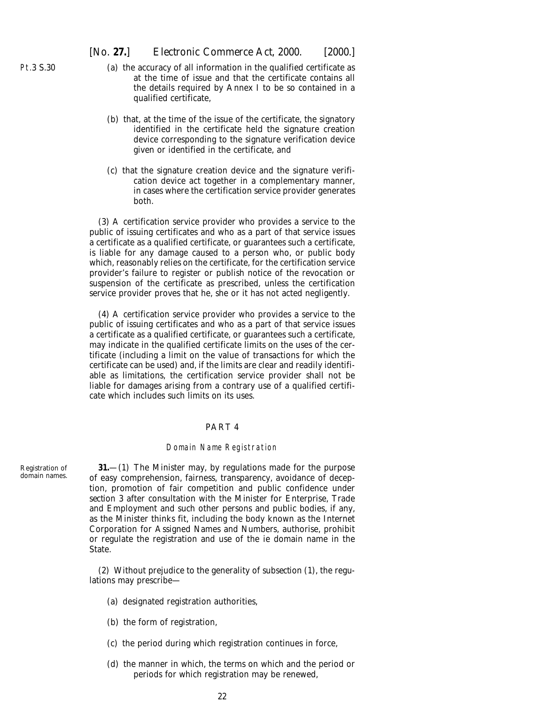<span id="page-20-0"></span>Pt.3 S.30

- (*a*) the accuracy of all information in the qualified certificate as at the time of issue and that the certificate contains all the details required by Annex I to be so contained in a qualified certificate,
- (*b*) that, at the time of the issue of the certificate, the signatory identified in the certificate held the signature creation device corresponding to the signature verification device given or identified in the certificate, and
- (*c*) that the signature creation device and the signature verification device act together in a complementary manner, in cases where the certification service provider generates both.

(3) A certification service provider who provides a service to the public of issuing certificates and who as a part of that service issues a certificate as a qualified certificate, or guarantees such a certificate, is liable for any damage caused to a person who, or public body which, reasonably relies on the certificate, for the certification service provider's failure to register or publish notice of the revocation or suspension of the certificate as prescribed, unless the certification service provider proves that he, she or it has not acted negligently.

(4) A certification service provider who provides a service to the public of issuing certificates and who as a part of that service issues a certificate as a qualified certificate, or guarantees such a certificate, may indicate in the qualified certificate limits on the uses of the certificate (including a limit on the value of transactions for which the certificate can be used) and, if the limits are clear and readily identifiable as limitations, the certification service provider shall not be liable for damages arising from a contrary use of a qualified certificate which includes such limits on its uses.

## PART 4

#### Domain Name Registration

**31.**—(1) The Minister may, by regulations made for the purpose of easy comprehension, fairness, transparency, avoidance of deception, promotion of fair competition and public confidence under *section 3* after consultation with the Minister for Enterprise, Trade and Employment and such other persons and public bodies, if any, as the Minister thinks fit, including the body known as the Internet Corporation for Assigned Names and Numbers, authorise, prohibit or regulate the registration and use of the ie domain name in the State.

(2) Without prejudice to the generality of *subsection (1)*, the regulations may prescribe—

- (*a*) designated registration authorities,
- (*b*) the form of registration,
- (*c*) the period during which registration continues in force,
- (*d*) the manner in which, the terms on which and the period or periods for which registration may be renewed,

Registration of domain names.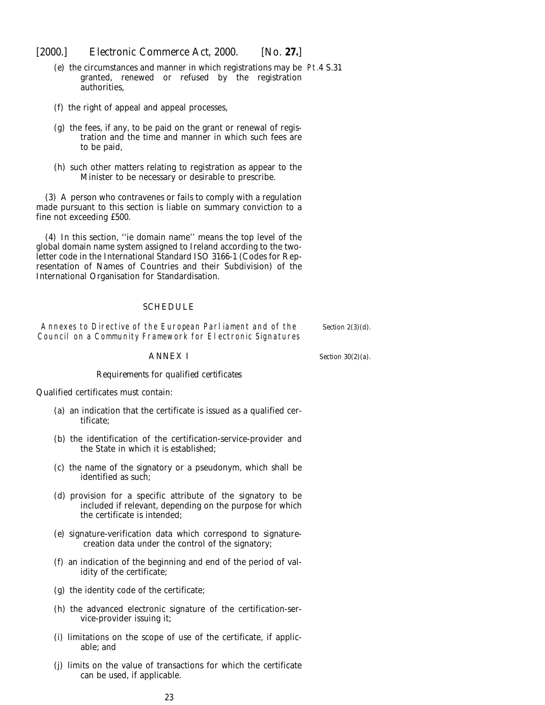<span id="page-21-0"></span>[2000.] *Electronic Commerce Act,* 2000. [*No.* **27.**]

- (*e*) the circumstances and manner in which registrations may be Pt.4 S.31 granted, renewed or refused by the registration authorities,
- (*f*) the right of appeal and appeal processes,
- (*g*) the fees, if any, to be paid on the grant or renewal of registration and the time and manner in which such fees are to be paid,
- (*h*) such other matters relating to registration as appear to the Minister to be necessary or desirable to prescribe.

(3) A person who contravenes or fails to comply with a regulation made pursuant to this section is liable on summary conviction to a fine not exceeding £500.

(4) In this section, ''ie domain name'' means the top level of the global domain name system assigned to Ireland according to the twoletter code in the International Standard ISO 3166-1 (Codes for Representation of Names of Countries and their Subdivision) of the International Organisation for Standardisation.

### **SCHEDULE**

Annexes to Directive of the European Parliament and of the Council on a Community Framework for Electronic Signatures *Section 2(3)(d).*

#### ANNEX I

#### *Requirements for qualified certificates*

Qualified certificates must contain:

- (*a*) an indication that the certificate is issued as a qualified certificate;
- (*b*) the identification of the certification-service-provider and the State in which it is established;
- (*c*) the name of the signatory or a pseudonym, which shall be identified as such;
- (*d*) provision for a specific attribute of the signatory to be included if relevant, depending on the purpose for which the certificate is intended;
- (*e*) signature-verification data which correspond to signaturecreation data under the control of the signatory;
- (*f*) an indication of the beginning and end of the period of validity of the certificate;
- (*g*) the identity code of the certificate;
- (*h*) the advanced electronic signature of the certification-service-provider issuing it;
- (*i*) limitations on the scope of use of the certificate, if applicable; and
- (*j*) limits on the value of transactions for which the certificate can be used, if applicable.

*Section 30(2)(a).*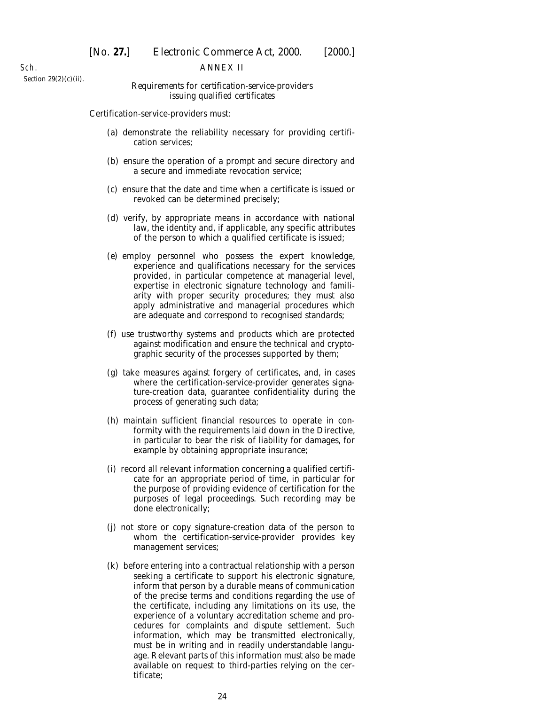#### ANNEX II

*Section 29(2)(c)(ii).*

Sch.

### *Requirements for certification-service-providers issuing qualified certificates*

Certification-service-providers must:

- (*a*) demonstrate the reliability necessary for providing certification services;
- (*b*) ensure the operation of a prompt and secure directory and a secure and immediate revocation service;
- (*c*) ensure that the date and time when a certificate is issued or revoked can be determined precisely;
- (*d*) verify, by appropriate means in accordance with national law, the identity and, if applicable, any specific attributes of the person to which a qualified certificate is issued;
- (*e*) employ personnel who possess the expert knowledge, experience and qualifications necessary for the services provided, in particular competence at managerial level, expertise in electronic signature technology and familiarity with proper security procedures; they must also apply administrative and managerial procedures which are adequate and correspond to recognised standards;
- (*f*) use trustworthy systems and products which are protected against modification and ensure the technical and cryptographic security of the processes supported by them;
- (*g*) take measures against forgery of certificates, and, in cases where the certification-service-provider generates signature-creation data, guarantee confidentiality during the process of generating such data;
- (*h*) maintain sufficient financial resources to operate in conformity with the requirements laid down in the Directive, in particular to bear the risk of liability for damages, for example by obtaining appropriate insurance;
- (*i*) record all relevant information concerning a qualified certificate for an appropriate period of time, in particular for the purpose of providing evidence of certification for the purposes of legal proceedings. Such recording may be done electronically;
- (*j*) not store or copy signature-creation data of the person to whom the certification-service-provider provides key management services;
- (*k*) before entering into a contractual relationship with a person seeking a certificate to support his electronic signature, inform that person by a durable means of communication of the precise terms and conditions regarding the use of the certificate, including any limitations on its use, the experience of a voluntary accreditation scheme and procedures for complaints and dispute settlement. Such information, which may be transmitted electronically, must be in writing and in readily understandable language. Relevant parts of this information must also be made available on request to third-parties relying on the certificate;